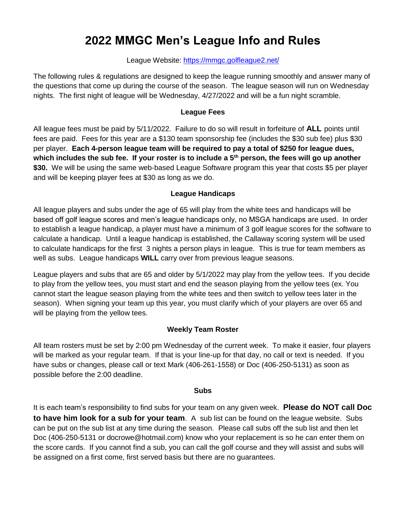# **2022 MMGC Men's League Info and Rules**

## League Website:<https://mmgc.golfleague2.net/>

The following rules & regulations are designed to keep the league running smoothly and answer many of the questions that come up during the course of the season. The league season will run on Wednesday nights. The first night of league will be Wednesday, 4/27/2022 and will be a fun night scramble.

# **League Fees**

All league fees must be paid by 5/11/2022. Failure to do so will result in forfeiture of **ALL** points until fees are paid. Fees for this year are a \$130 team sponsorship fee (includes the \$30 sub fee) plus \$30 per player. **Each 4-person league team will be required to pay a total of \$250 for league dues, which includes the sub fee. If your roster is to include a 5th person, the fees will go up another**  \$30. We will be using the same web-based League Software program this year that costs \$5 per player and will be keeping player fees at \$30 as long as we do.

## **League Handicaps**

All league players and subs under the age of 65 will play from the white tees and handicaps will be based off golf league scores and men's league handicaps only, no MSGA handicaps are used. In order to establish a league handicap, a player must have a minimum of 3 golf league scores for the software to calculate a handicap. Until a league handicap is established, the Callaway scoring system will be used to calculate handicaps for the first 3 nights a person plays in league. This is true for team members as well as subs. League handicaps **WILL** carry over from previous league seasons.

League players and subs that are 65 and older by 5/1/2022 may play from the yellow tees. If you decide to play from the yellow tees, you must start and end the season playing from the yellow tees (ex. You cannot start the league season playing from the white tees and then switch to yellow tees later in the season). When signing your team up this year, you must clarify which of your players are over 65 and will be playing from the yellow tees.

# **Weekly Team Roster**

All team rosters must be set by 2:00 pm Wednesday of the current week. To make it easier, four players will be marked as your regular team. If that is your line-up for that day, no call or text is needed. If you have subs or changes, please call or text Mark (406-261-1558) or Doc (406-250-5131) as soon as possible before the 2:00 deadline.

## **Subs**

It is each team's responsibility to find subs for your team on any given week. **Please do NOT call Doc to have him look for a sub for your team**. A sub list can be found on the league website. Subs can be put on the sub list at any time during the season. Please call subs off the sub list and then let Doc (406-250-5131 or docrowe@hotmail.com) know who your replacement is so he can enter them on the score cards. If you cannot find a sub, you can call the golf course and they will assist and subs will be assigned on a first come, first served basis but there are no guarantees.